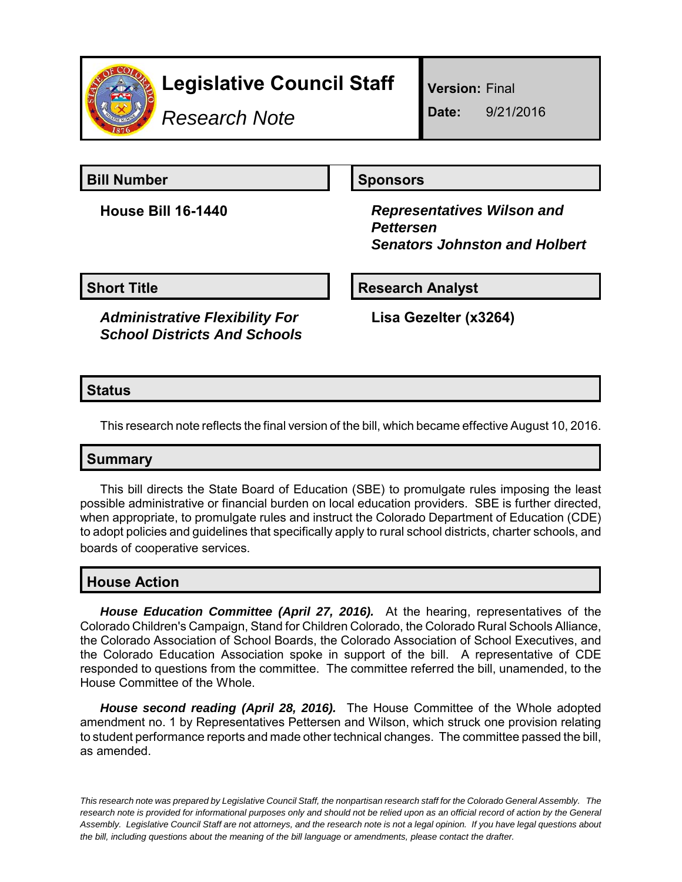

# **Legislative Council Staff**

*Research Note*

**Version:** Final

**Date:** 9/21/2016

**Bill Number Sponsors** 

**House Bill 16-1440** *Representatives Wilson and Pettersen Senators Johnston and Holbert*

**Short Title**  Research Analyst

*Administrative Flexibility For School Districts And Schools*

**Lisa Gezelter (x3264)**

# **Status**

This research note reflects the final version of the bill, which became effective August 10, 2016.

#### **Summary**

This bill directs the State Board of Education (SBE) to promulgate rules imposing the least possible administrative or financial burden on local education providers. SBE is further directed, when appropriate, to promulgate rules and instruct the Colorado Department of Education (CDE) to adopt policies and guidelines that specifically apply to rural school districts, charter schools, and boards of cooperative services.

# **House Action**

*House Education Committee (April 27, 2016).* At the hearing, representatives of the Colorado Children's Campaign, Stand for Children Colorado, the Colorado Rural Schools Alliance, the Colorado Association of School Boards, the Colorado Association of School Executives, and the Colorado Education Association spoke in support of the bill. A representative of CDE responded to questions from the committee. The committee referred the bill, unamended, to the House Committee of the Whole.

*House second reading (April 28, 2016).* The House Committee of the Whole adopted amendment no. 1 by Representatives Pettersen and Wilson, which struck one provision relating to student performance reports and made other technical changes. The committee passed the bill, as amended.

*This research note was prepared by Legislative Council Staff, the nonpartisan research staff for the Colorado General Assembly. The research note is provided for informational purposes only and should not be relied upon as an official record of action by the General Assembly. Legislative Council Staff are not attorneys, and the research note is not a legal opinion. If you have legal questions about the bill, including questions about the meaning of the bill language or amendments, please contact the drafter.*